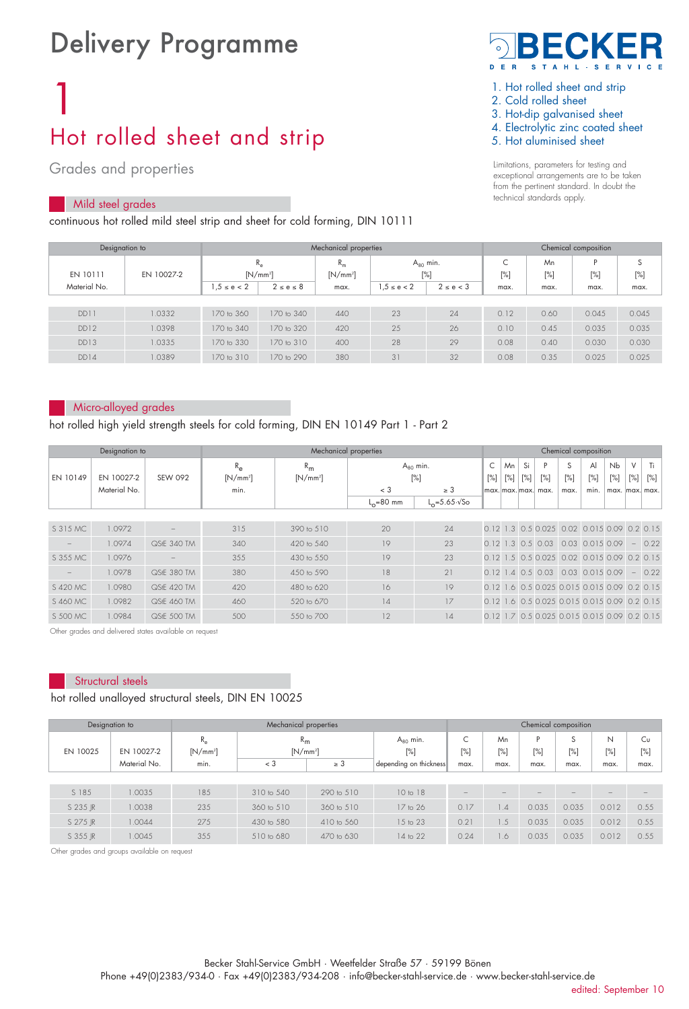# Delivery Programme

# 1 Hot rolled sheet and strip

## Grades and properties

#### Mild steel grades

continuous hot rolled mild steel strip and sheet for cold forming, DIN 10111



- 1. Hot rolled sheet and strip
- 2. Cold rolled sheet
- 3. Hot-dip galvanised sheet
- 4. Electrolytic zinc coated sheet
- 5. Hot aluminised sheet

Limitations, parameters for testing and exceptional arrangements are to be taken from the pertinent standard. In doubt the technical standards apply.

| Designation to |            |                            |                 | Mechanical properties | Chemical composition |               |      |      |          |           |     |             |
|----------------|------------|----------------------------|-----------------|-----------------------|----------------------|---------------|------|------|----------|-----------|-----|-------------|
| EN 10111       | EN 10027-2 | $R_{\alpha}$<br>$[N/mm^2]$ |                 | $R_m$<br>$[N/mm^2]$   | $A_{80}$ min.<br>[%] |               |      |      | ╰<br>[%] | Mn<br>[%] | [%] | S<br>$[\%]$ |
| Material No.   |            | $1,5 \le e < 2$            | $2 \le e \le 8$ | max.                  | $.5 \le e < 2$       | $2 \le e < 3$ | max. | max. | max.     | max.      |     |             |
|                |            |                            |                 |                       |                      |               |      |      |          |           |     |             |
| DD11           | 1.0332     | 170 to 360                 | 170 to 340      | 440                   | 23                   | 24            | 0.12 | 0.60 | 0.045    | 0.045     |     |             |
| DD12           | 1.0398     | 170 to 340                 | 170 to 320      | 420                   | 25                   | 26            | 0.10 | 0.45 | 0.035    | 0.035     |     |             |
| DD13           | 1.0335     | 170 to 330                 | 170 to 310      | 400                   | 28                   | 29            | 0.08 | 0.40 | 0.030    | 0.030     |     |             |
| DD14           | 1.0389     | 170 to 310                 | 170 to 290      | 380                   | 31                   | 32            | 0.08 | 0.35 | 0.025    | 0.025     |     |             |

#### Micro-alloyed grades

hot rolled high yield strength steels for cold forming, DIN EN 10149 Part 1 - Part 2

|          | Designation to |             | Mechanical properties |            |               |                               |        |        | Chemical composition |                                                       |        |                       |                |                          |      |  |  |  |
|----------|----------------|-------------|-----------------------|------------|---------------|-------------------------------|--------|--------|----------------------|-------------------------------------------------------|--------|-----------------------|----------------|--------------------------|------|--|--|--|
|          |                |             | $R_{\alpha}$          | $R_{m}$    |               | $A_{80}$ min.                 | C      | Mn.    | Si                   | P                                                     | S      | $\mathsf{A}$          | <b>Nb</b>      | V                        | Ti   |  |  |  |
| EN 10149 | EN 10027-2     | SEW 092     | $[N/mm^2]$            | $[N/mm^2]$ |               | $[\%]$                        | $[\%]$ | $[\%]$ | $[\%]$               | $[\%]$                                                | $[\%]$ | $[\%]$                | [%]            | $[\%]$                   | [%]  |  |  |  |
|          | Material No.   |             | min.                  |            | $<$ 3         | $\geq 3$                      |        |        |                      | lmax.lmax.lmax.l max.                                 | max.   | min.                  | max. max. max. |                          |      |  |  |  |
|          |                |             |                       |            | $L_0 = 80$ mm | $L_0 = 5.65 \cdot \sqrt{5}$ o |        |        |                      |                                                       |        |                       |                |                          |      |  |  |  |
|          |                |             |                       |            |               |                               |        |        |                      |                                                       |        |                       |                |                          |      |  |  |  |
| S 315 MC | 1.0972         |             | 315                   | 390 to 510 | 20            | 24                            |        |        |                      | 0.12 1.3 0.5 0.025 0.02 0.015 0.09 0.2 0.15           |        |                       |                |                          |      |  |  |  |
|          | 1.0974         | QStE 340 TM | 340                   | 420 to 540 | 19            | 23                            |        |        |                      | $0.12$ 1.3 0.5 0.03                                   |        | $0.03$ $0.015$ $0.09$ |                | $\overline{\phantom{a}}$ | 0.22 |  |  |  |
| S 355 MC | 1.0976         |             | 355                   | 430 to 550 | 19            | 23                            |        |        |                      | 0.12 1.5 0.5 0.025 0.02 0.015 0.09 0.2 0.15           |        |                       |                |                          |      |  |  |  |
|          | 1.0978         | QStE 380 TM | 380                   | 450 to 590 | 18            | 21                            |        |        |                      | $0.12$ 1.4 0.5 0.03                                   |        | $0.03$ 0.015 0.09     |                | $\overline{\phantom{a}}$ | 0.22 |  |  |  |
| S 420 MC | 1.0980         | QStE 420 TM | 420                   | 480 to 620 | 16            | 19                            | 0.121  |        |                      | .6 0.5 0.025 0.015 0.015 0.09 0.2 0.15                |        |                       |                |                          |      |  |  |  |
| S 460 MC | 1.0982         | QStE 460 TM | 460                   | 520 to 670 | 14            | 17                            |        |        |                      | 0.12 1.6 0.5 0.025 0.015 0.015 0.09 0.2 0.15          |        |                       |                |                          |      |  |  |  |
| S 500 MC | 1.0984         | QStF 500 TM | 500                   | 550 to 700 | 12            | 14                            |        |        |                      | 0 1 2 1 7 0 5 0 0 2 5 0 0 1 5 0 0 1 5 0 0 9 0 2 0 1 5 |        |                       |                |                          |      |  |  |  |

Other grades and delivered states available on request

### Structural steels

#### hot rolled unalloyed structural steels, DIN EN 10025

|          | Mechanical properties<br>Designation to |                           |                           |            |                         |        |           | Chemical composition     |             |             |           |  |  |  |  |
|----------|-----------------------------------------|---------------------------|---------------------------|------------|-------------------------|--------|-----------|--------------------------|-------------|-------------|-----------|--|--|--|--|
| EN 10025 | EN 10027-2                              | $R_{\rm e}$<br>$[N/mm^2]$ | $R_{\rm m}$<br>$[N/mm^2]$ |            | $A_{80}$ min.<br>$[\%]$ | $[\%]$ | Mn<br>[%] | D<br>$[\%]$              | c<br>$[\%]$ | N<br>$[\%]$ | Cυ<br>[%] |  |  |  |  |
|          | Material No.                            | min.                      | $<$ 3                     | $\geq 3$   | depending on thickness  | max.   | max.      | max.                     | max.        | max.        | max.      |  |  |  |  |
|          |                                         |                           |                           |            |                         |        |           |                          |             |             |           |  |  |  |  |
| S 185    | 1.0035                                  | 185                       | 310 to 540                | 290 to 510 | 10 to 18                |        |           | $\overline{\phantom{a}}$ |             |             |           |  |  |  |  |
| S 235 IR | 1.0038                                  | 235                       | 360 to 510                | 360 to 510 | 17 to 26                | 0.17   | 1.4       | 0.035                    | 0.035       | 0.012       | 0.55      |  |  |  |  |
| S 275 IR | 1.0044                                  | 275                       | 430 to 580                | 410 to 560 | 15 to 23                | 0.21   | 1.5       | 0.035                    | 0.035       | 0.012       | 0.55      |  |  |  |  |
| S 355 IR | 1.0045                                  | 355                       | 510 to 680                | 470 to 630 | 14 to 22                | 0.24   | 1.6       | 0.035                    | 0.035       | 0.012       | 0.55      |  |  |  |  |

Other grades and groups available on request